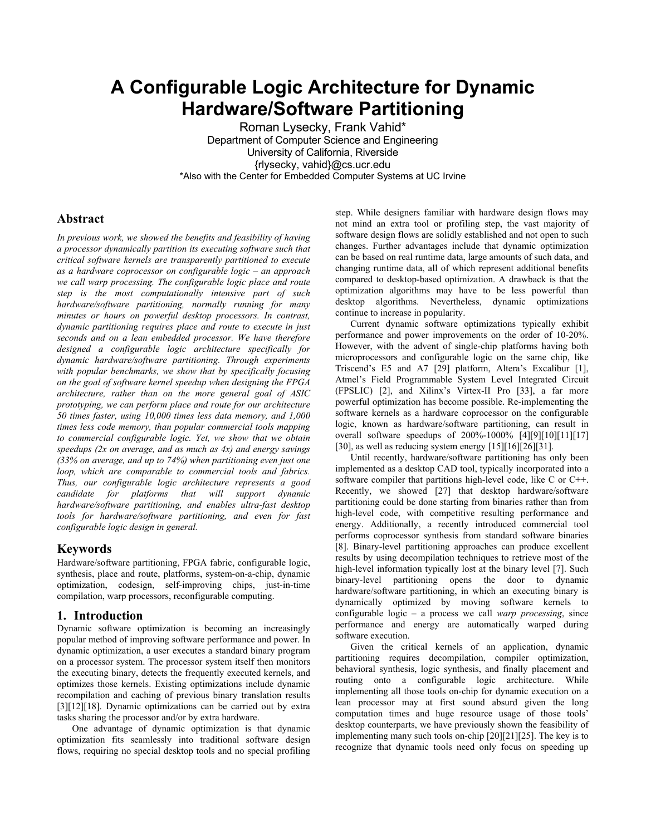# **A Configurable Logic Architecture for Dynamic Hardware/Software Partitioning**

Roman Lysecky, Frank Vahid\* Department of Computer Science and Engineering University of California, Riverside {rlysecky, vahid}@cs.ucr.edu \*Also with the Center for Embedded Computer Systems at UC Irvine

# **Abstract**

*In previous work, we showed the benefits and feasibility of having a processor dynamically partition its executing software such that critical software kernels are transparently partitioned to execute as a hardware coprocessor on configurable logic – an approach we call warp processing. The configurable logic place and route step is the most computationally intensive part of such hardware/software partitioning, normally running for many minutes or hours on powerful desktop processors. In contrast, dynamic partitioning requires place and route to execute in just seconds and on a lean embedded processor. We have therefore designed a configurable logic architecture specifically for dynamic hardware/software partitioning. Through experiments with popular benchmarks, we show that by specifically focusing on the goal of software kernel speedup when designing the FPGA architecture, rather than on the more general goal of ASIC prototyping, we can perform place and route for our architecture 50 times faster, using 10,000 times less data memory, and 1,000 times less code memory, than popular commercial tools mapping to commercial configurable logic. Yet, we show that we obtain speedups (2x on average, and as much as 4x) and energy savings (33% on average, and up to 74%) when partitioning even just one loop, which are comparable to commercial tools and fabrics. Thus, our configurable logic architecture represents a good candidate for platforms that will support dynamic hardware/software partitioning, and enables ultra-fast desktop tools for hardware/software partitioning, and even for fast configurable logic design in general.* 

# **Keywords**

Hardware/software partitioning, FPGA fabric, configurable logic, synthesis, place and route, platforms, system-on-a-chip, dynamic optimization, codesign, self-improving chips, just-in-time compilation, warp processors, reconfigurable computing.

### **1. Introduction**

Dynamic software optimization is becoming an increasingly popular method of improving software performance and power. In dynamic optimization, a user executes a standard binary program on a processor system. The processor system itself then monitors the executing binary, detects the frequently executed kernels, and optimizes those kernels. Existing optimizations include dynamic recompilation and caching of previous binary translation results [3][12][18]. Dynamic optimizations can be carried out by extra tasks sharing the processor and/or by extra hardware.

One advantage of dynamic optimization is that dynamic optimization fits seamlessly into traditional software design flows, requiring no special desktop tools and no special profiling step. While designers familiar with hardware design flows may not mind an extra tool or profiling step, the vast majority of software design flows are solidly established and not open to such changes. Further advantages include that dynamic optimization can be based on real runtime data, large amounts of such data, and changing runtime data, all of which represent additional benefits compared to desktop-based optimization. A drawback is that the optimization algorithms may have to be less powerful than desktop algorithms. Nevertheless, dynamic optimizations continue to increase in popularity.

Current dynamic software optimizations typically exhibit performance and power improvements on the order of 10-20%. However, with the advent of single-chip platforms having both microprocessors and configurable logic on the same chip, like Triscend's E5 and A7 [29] platform, Altera's Excalibur [1], Atmel's Field Programmable System Level Integrated Circuit (FPSLIC) [2], and Xilinx's Virtex-II Pro [33], a far more powerful optimization has become possible. Re-implementing the software kernels as a hardware coprocessor on the configurable logic, known as hardware/software partitioning, can result in overall software speedups of 200%-1000% [4][9][10][11][17] [30], as well as reducing system energy  $[15][16][26][31]$ .

Until recently, hardware/software partitioning has only been implemented as a desktop CAD tool, typically incorporated into a software compiler that partitions high-level code, like C or C++. Recently, we showed [27] that desktop hardware/software partitioning could be done starting from binaries rather than from high-level code, with competitive resulting performance and energy. Additionally, a recently introduced commercial tool performs coprocessor synthesis from standard software binaries [8]. Binary-level partitioning approaches can produce excellent results by using decompilation techniques to retrieve most of the high-level information typically lost at the binary level [7]. Such binary-level partitioning opens the door to dynamic hardware/software partitioning, in which an executing binary is dynamically optimized by moving software kernels to configurable logic – a process we call *warp processing*, since performance and energy are automatically warped during software execution.

Given the critical kernels of an application, dynamic partitioning requires decompilation, compiler optimization, behavioral synthesis, logic synthesis, and finally placement and routing onto a configurable logic architecture. While implementing all those tools on-chip for dynamic execution on a lean processor may at first sound absurd given the long computation times and huge resource usage of those tools' desktop counterparts, we have previously shown the feasibility of implementing many such tools on-chip [20][21][25]. The key is to recognize that dynamic tools need only focus on speeding up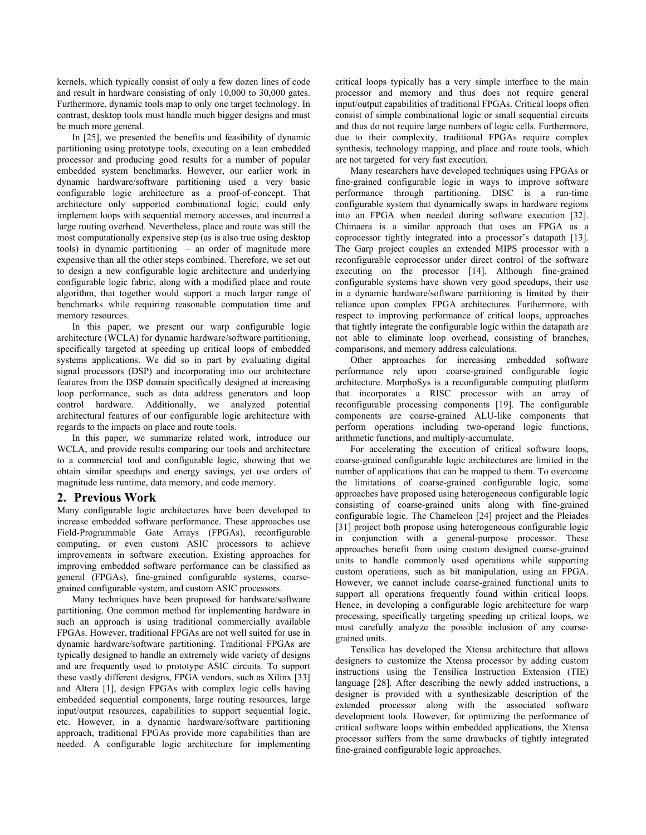kernels, which typically consist of only a few dozen lines of code and result in hardware consisting of only 10,000 to 30,000 gates. Furthermore, dynamic tools map to only one target technology. In contrast, desktop tools must handle much bigger designs and must be much more general.

In [25], we presented the benefits and feasibility of dynamic partitioning using prototype tools, executing on a lean embedded processor and producing good results for a number of popular embedded system benchmarks. However, our earlier work in dynamic hardware/software partitioning used a very basic configurable logic architecture as a proof-of-concept. That architecture only supported combinational logic, could only implement loops with sequential memory accesses, and incurred a large routing overhead. Nevertheless, place and route was still the most computationally expensive step (as is also true using desktop tools) in dynamic partitioning – an order of magnitude more expensive than all the other steps combined. Therefore, we set out to design a new configurable logic architecture and underlying configurable logic fabric, along with a modified place and route algorithm, that together would support a much larger range of benchmarks while requiring reasonable computation time and memory resources.

In this paper, we present our warp configurable logic architecture (WCLA) for dynamic hardware/software partitioning, specifically targeted at speeding up critical loops of embedded systems applications. We did so in part by evaluating digital signal processors (DSP) and incorporating into our architecture features from the DSP domain specifically designed at increasing loop performance, such as data address generators and loop control hardware. Additionally, we analyzed potential architectural features of our configurable logic architecture with regards to the impacts on place and route tools.

In this paper, we summarize related work, introduce our WCLA, and provide results comparing our tools and architecture to a commercial tool and configurable logic, showing that we obtain similar speedups and energy savings, yet use orders of magnitude less runtime, data memory, and code memory.

# **2. Previous Work**

Many configurable logic architectures have been developed to increase embedded software performance. These approaches use Field-Programmable Gate Arrays (FPGAs), reconfigurable computing, or even custom ASIC processors to achieve improvements in software execution. Existing approaches for improving embedded software performance can be classified as general (FPGAs), fine-grained configurable systems, coarsegrained configurable system, and custom ASIC processors.

Many techniques have been proposed for hardware/software partitioning. One common method for implementing hardware in such an approach is using traditional commercially available FPGAs. However, traditional FPGAs are not well suited for use in dynamic hardware/software partitioning. Traditional FPGAs are typically designed to handle an extremely wide variety of designs and are frequently used to prototype ASIC circuits. To support these vastly different designs, FPGA vendors, such as Xilinx [33] and Altera [1], design FPGAs with complex logic cells having embedded sequential components, large routing resources, large input/output resources, capabilities to support sequential logic, etc. However, in a dynamic hardware/software partitioning approach, traditional FPGAs provide more capabilities than are needed. A configurable logic architecture for implementing critical loops typically has a very simple interface to the main processor and memory and thus does not require general input/output capabilities of traditional FPGAs. Critical loops often consist of simple combinational logic or small sequential circuits and thus do not require large numbers of logic cells. Furthermore, due to their complexity, traditional FPGAs require complex synthesis, technology mapping, and place and route tools, which are not targeted for very fast execution.

Many researchers have developed techniques using FPGAs or fine-grained configurable logic in ways to improve software performance through partitioning. DISC is a run-time configurable system that dynamically swaps in hardware regions into an FPGA when needed during software execution [32]. Chimaera is a similar approach that uses an FPGA as a coprocessor tightly integrated into a processor's datapath [13]. The Garp project couples an extended MIPS processor with a reconfigurable coprocessor under direct control of the software executing on the processor [14]. Although fine-grained configurable systems have shown very good speedups, their use in a dynamic hardware/software partitioning is limited by their reliance upon complex FPGA architectures. Furthermore, with respect to improving performance of critical loops, approaches that tightly integrate the configurable logic within the datapath are not able to eliminate loop overhead, consisting of branches, comparisons, and memory address calculations.

Other approaches for increasing embedded software performance rely upon coarse-grained configurable logic architecture. MorphoSys is a reconfigurable computing platform that incorporates a RISC processor with an array of reconfigurable processing components [19]. The configurable components are coarse-grained ALU-like components that perform operations including two-operand logic functions, arithmetic functions, and multiply-accumulate.

For accelerating the execution of critical software loops, coarse-grained configurable logic architectures are limited in the number of applications that can be mapped to them. To overcome the limitations of coarse-grained configurable logic, some approaches have proposed using heterogeneous configurable logic consisting of coarse-grained units along with fine-grained configurable logic. The Chameleon [24] project and the Pleiades [31] project both propose using heterogeneous configurable logic in conjunction with a general-purpose processor. These approaches benefit from using custom designed coarse-grained units to handle commonly used operations while supporting custom operations, such as bit manipulation, using an FPGA. However, we cannot include coarse-grained functional units to support all operations frequently found within critical loops. Hence, in developing a configurable logic architecture for warp processing, specifically targeting speeding up critical loops, we must carefully analyze the possible inclusion of any coarsegrained units.

Tensilica has developed the Xtensa architecture that allows designers to customize the Xtensa processor by adding custom instructions using the Tensilica Instruction Extension (TIE) language [28]. After describing the newly added instructions, a designer is provided with a synthesizable description of the extended processor along with the associated software development tools. However, for optimizing the performance of critical software loops within embedded applications, the Xtensa processor suffers from the same drawbacks of tightly integrated fine-grained configurable logic approaches.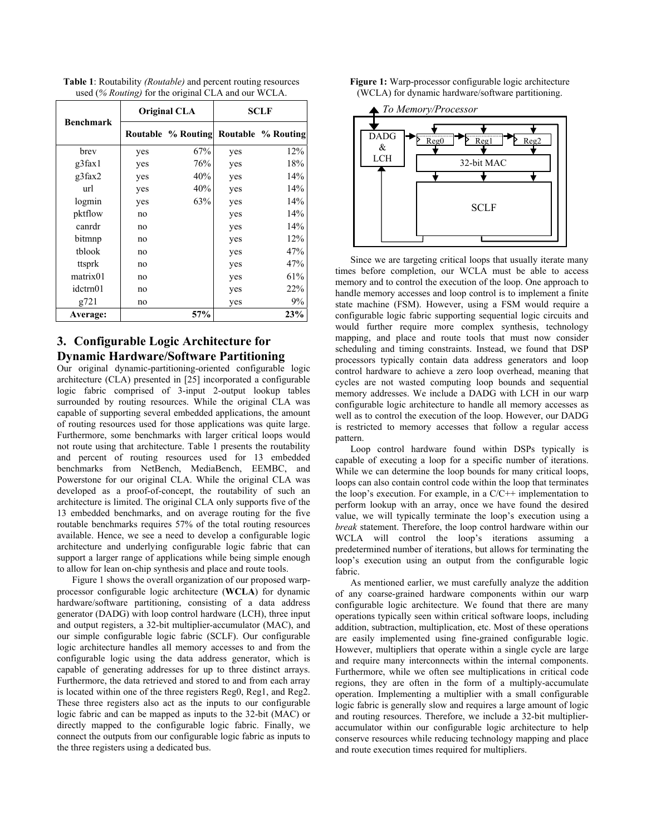| Benchmark | <b>Original CLA</b> |                                       | <b>SCLF</b> |     |
|-----------|---------------------|---------------------------------------|-------------|-----|
|           |                     | Routable % Routing Routable % Routing |             |     |
| brev      | yes                 | 67%                                   | yes         | 12% |
| g3fax1    | yes                 | 76%                                   | yes         | 18% |
| g3fax2    | yes                 | 40%                                   | yes         | 14% |
| url       | yes                 | 40%                                   | yes         | 14% |
| logmin    | yes                 | 63%                                   | yes         | 14% |
| pktflow   | no                  |                                       | yes         | 14% |
| canrdr    | no                  |                                       | yes         | 14% |
| bitmnp    | no                  |                                       | yes         | 12% |
| tblook    | no                  |                                       | yes         | 47% |
| ttsprk    | no                  |                                       | yes         | 47% |
| matrix01  | no                  |                                       | yes         | 61% |
| idctrn01  | no                  |                                       | yes         | 22% |
| g721      | no                  |                                       | yes         | 9%  |
| Average:  |                     | 57%                                   |             | 23% |

**Table 1**: Routability *(Routable)* and percent routing resources used (*% Routing)* for the original CLA and our WCLA.

# **3. Configurable Logic Architecture for Dynamic Hardware/Software Partitioning**

Our original dynamic-partitioning-oriented configurable logic architecture (CLA) presented in [25] incorporated a configurable logic fabric comprised of 3-input 2-output lookup tables surrounded by routing resources. While the original CLA was capable of supporting several embedded applications, the amount of routing resources used for those applications was quite large. Furthermore, some benchmarks with larger critical loops would not route using that architecture. Table 1 presents the routability and percent of routing resources used for 13 embedded benchmarks from NetBench, MediaBench, EEMBC, and Powerstone for our original CLA. While the original CLA was developed as a proof-of-concept, the routability of such an architecture is limited. The original CLA only supports five of the 13 embedded benchmarks, and on average routing for the five routable benchmarks requires 57% of the total routing resources available. Hence, we see a need to develop a configurable logic architecture and underlying configurable logic fabric that can support a larger range of applications while being simple enough to allow for lean on-chip synthesis and place and route tools.

Figure 1 shows the overall organization of our proposed warpprocessor configurable logic architecture (**WCLA**) for dynamic hardware/software partitioning, consisting of a data address generator (DADG) with loop control hardware (LCH), three input and output registers, a 32-bit multiplier-accumulator (MAC), and our simple configurable logic fabric (SCLF). Our configurable logic architecture handles all memory accesses to and from the configurable logic using the data address generator, which is capable of generating addresses for up to three distinct arrays. Furthermore, the data retrieved and stored to and from each array is located within one of the three registers Reg0, Reg1, and Reg2. These three registers also act as the inputs to our configurable logic fabric and can be mapped as inputs to the 32-bit (MAC) or directly mapped to the configurable logic fabric. Finally, we connect the outputs from our configurable logic fabric as inputs to the three registers using a dedicated bus.

**Figure 1:** Warp-processor configurable logic architecture (WCLA) for dynamic hardware/software partitioning.



Since we are targeting critical loops that usually iterate many times before completion, our WCLA must be able to access memory and to control the execution of the loop. One approach to handle memory accesses and loop control is to implement a finite state machine (FSM). However, using a FSM would require a configurable logic fabric supporting sequential logic circuits and would further require more complex synthesis, technology mapping, and place and route tools that must now consider scheduling and timing constraints. Instead, we found that DSP processors typically contain data address generators and loop control hardware to achieve a zero loop overhead, meaning that cycles are not wasted computing loop bounds and sequential memory addresses. We include a DADG with LCH in our warp configurable logic architecture to handle all memory accesses as well as to control the execution of the loop. However, our DADG is restricted to memory accesses that follow a regular access pattern.

Loop control hardware found within DSPs typically is capable of executing a loop for a specific number of iterations. While we can determine the loop bounds for many critical loops, loops can also contain control code within the loop that terminates the loop's execution. For example, in a C/C++ implementation to perform lookup with an array, once we have found the desired value, we will typically terminate the loop's execution using a *break* statement. Therefore, the loop control hardware within our WCLA will control the loop's iterations assuming a predetermined number of iterations, but allows for terminating the loop's execution using an output from the configurable logic fabric.

As mentioned earlier, we must carefully analyze the addition of any coarse-grained hardware components within our warp configurable logic architecture. We found that there are many operations typically seen within critical software loops, including addition, subtraction, multiplication, etc. Most of these operations are easily implemented using fine-grained configurable logic. However, multipliers that operate within a single cycle are large and require many interconnects within the internal components. Furthermore, while we often see multiplications in critical code regions, they are often in the form of a multiply-accumulate operation. Implementing a multiplier with a small configurable logic fabric is generally slow and requires a large amount of logic and routing resources. Therefore, we include a 32-bit multiplieraccumulator within our configurable logic architecture to help conserve resources while reducing technology mapping and place and route execution times required for multipliers.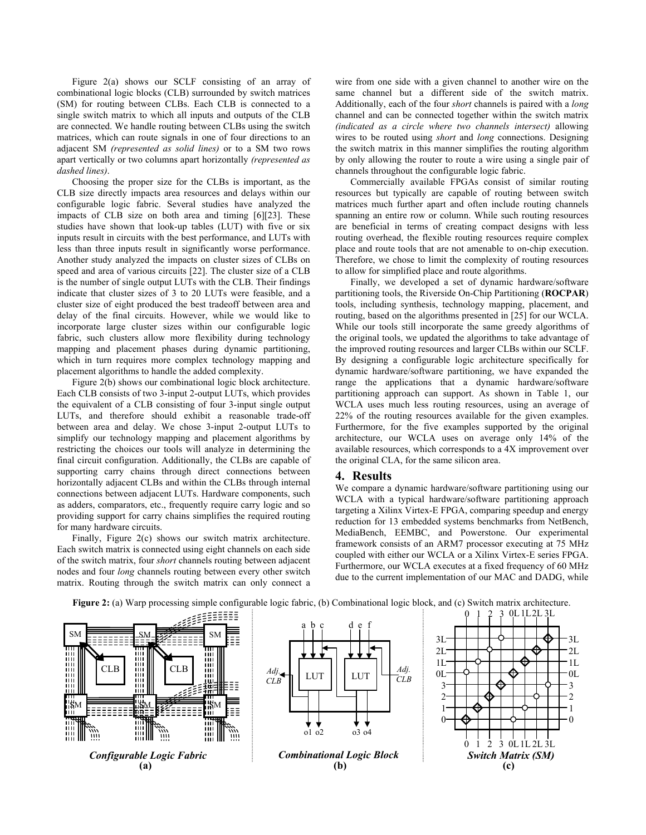Figure 2(a) shows our SCLF consisting of an array of combinational logic blocks (CLB) surrounded by switch matrices (SM) for routing between CLBs. Each CLB is connected to a single switch matrix to which all inputs and outputs of the CLB are connected. We handle routing between CLBs using the switch matrices, which can route signals in one of four directions to an adjacent SM *(represented as solid lines)* or to a SM two rows apart vertically or two columns apart horizontally *(represented as dashed lines)*.

Choosing the proper size for the CLBs is important, as the CLB size directly impacts area resources and delays within our configurable logic fabric. Several studies have analyzed the impacts of CLB size on both area and timing [6][23]. These studies have shown that look-up tables (LUT) with five or six inputs result in circuits with the best performance, and LUTs with less than three inputs result in significantly worse performance. Another study analyzed the impacts on cluster sizes of CLBs on speed and area of various circuits [22]. The cluster size of a CLB is the number of single output LUTs with the CLB. Their findings indicate that cluster sizes of 3 to 20 LUTs were feasible, and a cluster size of eight produced the best tradeoff between area and delay of the final circuits. However, while we would like to incorporate large cluster sizes within our configurable logic fabric, such clusters allow more flexibility during technology mapping and placement phases during dynamic partitioning, which in turn requires more complex technology mapping and placement algorithms to handle the added complexity.

Figure 2(b) shows our combinational logic block architecture. Each CLB consists of two 3-input 2-output LUTs, which provides the equivalent of a CLB consisting of four 3-input single output LUTs, and therefore should exhibit a reasonable trade-off between area and delay. We chose 3-input 2-output LUTs to simplify our technology mapping and placement algorithms by restricting the choices our tools will analyze in determining the final circuit configuration. Additionally, the CLBs are capable of supporting carry chains through direct connections between horizontally adjacent CLBs and within the CLBs through internal connections between adjacent LUTs. Hardware components, such as adders, comparators, etc., frequently require carry logic and so providing support for carry chains simplifies the required routing for many hardware circuits.

Finally, Figure 2(c) shows our switch matrix architecture. Each switch matrix is connected using eight channels on each side of the switch matrix, four *short* channels routing between adjacent nodes and four *long* channels routing between every other switch matrix. Routing through the switch matrix can only connect a

wire from one side with a given channel to another wire on the same channel but a different side of the switch matrix. Additionally, each of the four *short* channels is paired with a *long* channel and can be connected together within the switch matrix *(indicated as a circle where two channels intersect)* allowing wires to be routed using *short* and *long* connections. Designing the switch matrix in this manner simplifies the routing algorithm by only allowing the router to route a wire using a single pair of channels throughout the configurable logic fabric.

Commercially available FPGAs consist of similar routing resources but typically are capable of routing between switch matrices much further apart and often include routing channels spanning an entire row or column. While such routing resources are beneficial in terms of creating compact designs with less routing overhead, the flexible routing resources require complex place and route tools that are not amenable to on-chip execution. Therefore, we chose to limit the complexity of routing resources to allow for simplified place and route algorithms.

Finally, we developed a set of dynamic hardware/software partitioning tools, the Riverside On-Chip Partitioning (**ROCPAR**) tools, including synthesis, technology mapping, placement, and routing, based on the algorithms presented in [25] for our WCLA. While our tools still incorporate the same greedy algorithms of the original tools, we updated the algorithms to take advantage of the improved routing resources and larger CLBs within our SCLF. By designing a configurable logic architecture specifically for dynamic hardware/software partitioning, we have expanded the range the applications that a dynamic hardware/software partitioning approach can support. As shown in Table 1, our WCLA uses much less routing resources, using an average of 22% of the routing resources available for the given examples. Furthermore, for the five examples supported by the original architecture, our WCLA uses on average only 14% of the available resources, which corresponds to a 4X improvement over the original CLA, for the same silicon area.

### **4. Results**

We compare a dynamic hardware/software partitioning using our WCLA with a typical hardware/software partitioning approach targeting a Xilinx Virtex-E FPGA, comparing speedup and energy reduction for 13 embedded systems benchmarks from NetBench, MediaBench, EEMBC, and Powerstone. Our experimental framework consists of an ARM7 processor executing at 75 MHz coupled with either our WCLA or a Xilinx Virtex-E series FPGA. Furthermore, our WCLA executes at a fixed frequency of 60 MHz due to the current implementation of our MAC and DADG, while



**Figure 2:** (a) Warp processing simple configurable logic fabric, (b) Combinational logic block, and (c) Switch matrix architecture.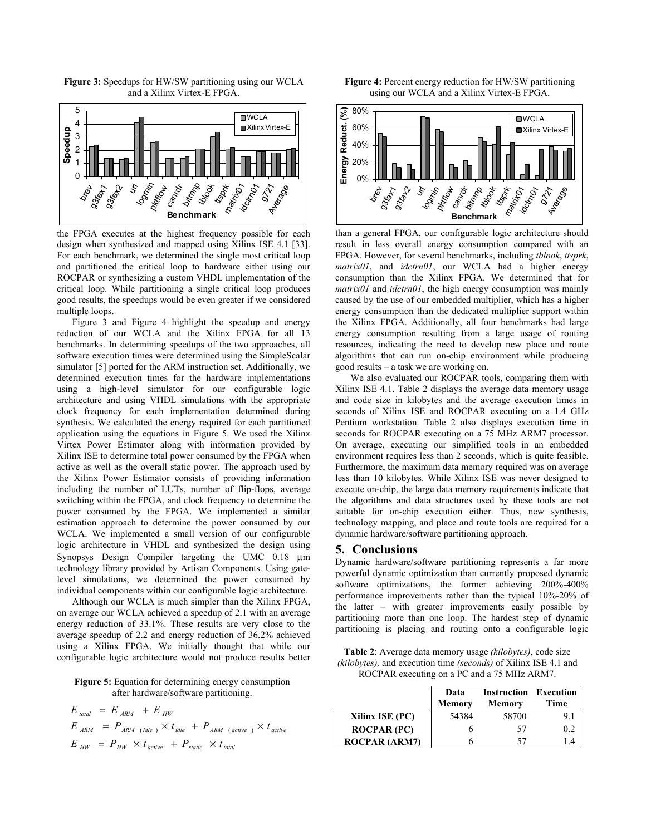**Figure 3:** Speedups for HW/SW partitioning using our WCLA and a Xilinx Virtex-E FPGA.



the FPGA executes at the highest frequency possible for each design when synthesized and mapped using Xilinx ISE 4.1 [33]. For each benchmark, we determined the single most critical loop and partitioned the critical loop to hardware either using our ROCPAR or synthesizing a custom VHDL implementation of the critical loop. While partitioning a single critical loop produces good results, the speedups would be even greater if we considered multiple loops.

Figure 3 and Figure 4 highlight the speedup and energy reduction of our WCLA and the Xilinx FPGA for all 13 benchmarks. In determining speedups of the two approaches, all software execution times were determined using the SimpleScalar simulator [5] ported for the ARM instruction set. Additionally, we determined execution times for the hardware implementations using a high-level simulator for our configurable logic architecture and using VHDL simulations with the appropriate clock frequency for each implementation determined during synthesis. We calculated the energy required for each partitioned application using the equations in Figure 5. We used the Xilinx Virtex Power Estimator along with information provided by Xilinx ISE to determine total power consumed by the FPGA when active as well as the overall static power. The approach used by the Xilinx Power Estimator consists of providing information including the number of LUTs, number of flip-flops, average switching within the FPGA, and clock frequency to determine the power consumed by the FPGA. We implemented a similar estimation approach to determine the power consumed by our WCLA. We implemented a small version of our configurable logic architecture in VHDL and synthesized the design using Synopsys Design Compiler targeting the UMC 0.18 µm technology library provided by Artisan Components. Using gatelevel simulations, we determined the power consumed by individual components within our configurable logic architecture.

Although our WCLA is much simpler than the Xilinx FPGA, on average our WCLA achieved a speedup of 2.1 with an average energy reduction of 33.1%. These results are very close to the average speedup of 2.2 and energy reduction of 36.2% achieved using a Xilinx FPGA. We initially thought that while our configurable logic architecture would not produce results better

**Figure 5:** Equation for determining energy consumption after hardware/software partitioning.

$$
E_{total} = E_{ARM} + E_{HW}
$$
  
\n
$$
E_{ARM} = P_{ARM (idle)} \times t_{idle} + P_{ARM (active)} \times t_{active}
$$
  
\n
$$
E_{HW} = P_{HW} \times t_{active} + P_{static} \times t_{total}
$$

**Figure 4:** Percent energy reduction for HW/SW partitioning using our WCLA and a Xilinx Virtex-E FPGA.



than a general FPGA, our configurable logic architecture should result in less overall energy consumption compared with an FPGA. However, for several benchmarks, including *tblook*, *ttsprk*, *matrix01*, and *idctrn01*, our WCLA had a higher energy consumption than the Xilinx FPGA. We determined that for *matrix01* and *idctrn01*, the high energy consumption was mainly caused by the use of our embedded multiplier, which has a higher energy consumption than the dedicated multiplier support within the Xilinx FPGA. Additionally, all four benchmarks had large energy consumption resulting from a large usage of routing resources, indicating the need to develop new place and route algorithms that can run on-chip environment while producing good results – a task we are working on.

We also evaluated our ROCPAR tools, comparing them with Xilinx ISE 4.1. Table 2 displays the average data memory usage and code size in kilobytes and the average execution times in seconds of Xilinx ISE and ROCPAR executing on a 1.4 GHz Pentium workstation. Table 2 also displays execution time in seconds for ROCPAR executing on a 75 MHz ARM7 processor. On average, executing our simplified tools in an embedded environment requires less than 2 seconds, which is quite feasible. Furthermore, the maximum data memory required was on average less than 10 kilobytes. While Xilinx ISE was never designed to execute on-chip, the large data memory requirements indicate that the algorithms and data structures used by these tools are not suitable for on-chip execution either. Thus, new synthesis, technology mapping, and place and route tools are required for a dynamic hardware/software partitioning approach.

### **5. Conclusions**

Dynamic hardware/software partitioning represents a far more powerful dynamic optimization than currently proposed dynamic software optimizations, the former achieving 200%-400% performance improvements rather than the typical 10%-20% of the latter – with greater improvements easily possible by partitioning more than one loop. The hardest step of dynamic partitioning is placing and routing onto a configurable logic

**Table 2**: Average data memory usage *(kilobytes)*, code size *(kilobytes),* and execution time *(seconds)* of Xilinx ISE 4.1 and ROCPAR executing on a PC and a 75 MHz ARM7.

|                      | Data<br><b>Memory</b> | <b>Instruction Execution</b><br>Memory | Time |
|----------------------|-----------------------|----------------------------------------|------|
| Xilinx ISE (PC)      | 54384                 | 58700                                  | 9.1  |
| <b>ROCPAR (PC)</b>   |                       | 57                                     | 02   |
| <b>ROCPAR (ARM7)</b> |                       | 57                                     |      |